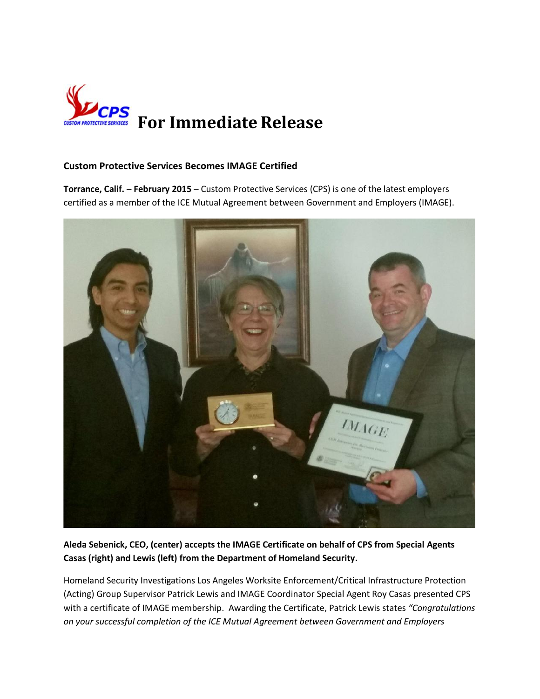

## **Custom Protective Services Becomes IMAGE Certified**

**Torrance, Calif. – February 2015** – Custom Protective Services (CPS) is one of the latest employers certified as a member of the ICE Mutual Agreement between Government and Employers (IMAGE).



**Aleda Sebenick, CEO, (center) accepts the IMAGE Certificate on behalf of CPS from Special Agents Casas (right) and Lewis (left) from the Department of Homeland Security.**

Homeland Security Investigations Los Angeles Worksite Enforcement/Critical Infrastructure Protection (Acting) Group Supervisor Patrick Lewis and IMAGE Coordinator Special Agent Roy Casas presented CPS with a certificate of IMAGE membership. Awarding the Certificate, Patrick Lewis states *"Congratulations on your successful completion of the ICE Mutual Agreement between Government and Employers*